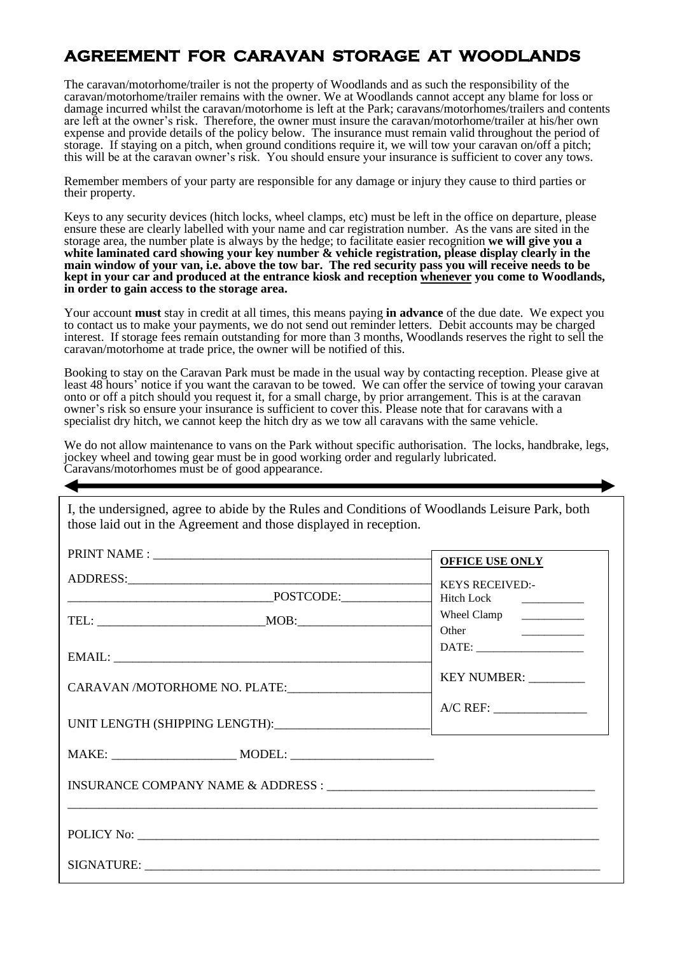## **AGREEMENT FOR CARAVAN STORAGE AT WOODLANDS**

The caravan/motorhome/trailer is not the property of Woodlands and as such the responsibility of the caravan/motorhome/trailer remains with the owner. We at Woodlands cannot accept any blame for loss or damage incurred whilst the caravan/motorhome is left at the Park; caravans/motorhomes/trailers and contents are left at the owner's risk. Therefore, the owner must insure the caravan/motorhome/trailer at his/her own expense and provide details of the policy below. The insurance must remain valid throughout the period of storage. If staying on a pitch, when ground conditions require it, we will tow your caravan on/off a pitch; this will be at the caravan owner's risk. You should ensure your insurance is sufficient to cover any tows.

Remember members of your party are responsible for any damage or injury they cause to third parties or their property.

Keys to any security devices (hitch locks, wheel clamps, etc) must be left in the office on departure, please ensure these are clearly labelled with your name and car registration number. As the vans are sited in the storage area, the number plate is always by the hedge; to facilitate easier recognition **we will give you a white laminated card showing your key number & vehicle registration, please display clearly in the main window of your van, i.e. above the tow bar. The red security pass you will receive needs to be kept in your car and produced at the entrance kiosk and reception whenever you come to Woodlands, in order to gain access to the storage area.** 

Your account **must** stay in credit at all times, this means paying **in advance** of the due date. We expect you to contact us to make your payments, we do not send out reminder letters. Debit accounts may be charged interest. If storage fees remain outstanding for more than 3 months, Woodlands reserves the right to sell the caravan/motorhome at trade price, the owner will be notified of this.

Booking to stay on the Caravan Park must be made in the usual way by contacting reception. Please give at least 48 hours' notice if you want the caravan to be towed. We can offer the service of towing your caravan onto or off a pitch should you request it, for a small charge, by prior arrangement. This is at the caravan owner's risk so ensure your insurance is sufficient to cover this. Please note that for caravans with a specialist dry hitch, we cannot keep the hitch dry as we tow all caravans with the same vehicle.

We do not allow maintenance to vans on the Park without specific authorisation. The locks, handbrake, legs, jockey wheel and towing gear must be in good working order and regularly lubricated. Caravans/motorhomes must be of good appearance.

I, the undersigned, agree to abide by the Rules and Conditions of Woodlands Leisure Park, both those laid out in the Agreement and those displayed in reception.

|                               |  | <b>OFFICE USE ONLY</b>    |
|-------------------------------|--|---------------------------|
|                               |  | <b>KEYS RECEIVED:-</b>    |
| $\textrm{POSTODE:}$           |  |                           |
|                               |  | Wheel Clamp   ___________ |
|                               |  | Other <u>_______</u>      |
|                               |  |                           |
| CARAVAN /MOTORHOME NO. PLATE: |  | KEY NUMBER: _________     |
|                               |  |                           |
|                               |  |                           |
|                               |  |                           |
|                               |  |                           |
|                               |  |                           |
|                               |  |                           |
|                               |  |                           |